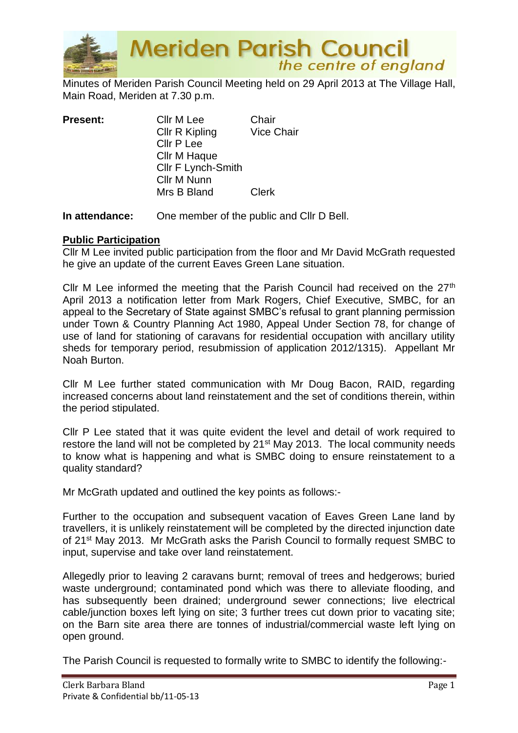

**Meriden Parish Council** the centre of england

Minutes of Meriden Parish Council Meeting held on 29 April 2013 at The Village Hall, Main Road, Meriden at 7.30 p.m.

| <b>Present:</b> | Cllr M Lee         | Chair             |
|-----------------|--------------------|-------------------|
|                 | Cllr R Kipling     | <b>Vice Chair</b> |
|                 | Cllr P Lee         |                   |
|                 | Cllr M Haque       |                   |
|                 | Cllr F Lynch-Smith |                   |
|                 | Cllr M Nunn        |                   |
|                 | Mrs B Bland        | <b>Clerk</b>      |
|                 |                    |                   |

**In attendance:** One member of the public and Cllr D Bell.

## **Public Participation**

Cllr M Lee invited public participation from the floor and Mr David McGrath requested he give an update of the current Eaves Green Lane situation.

Cllr M Lee informed the meeting that the Parish Council had received on the 27<sup>th</sup> April 2013 a notification letter from Mark Rogers, Chief Executive, SMBC, for an appeal to the Secretary of State against SMBC's refusal to grant planning permission under Town & Country Planning Act 1980, Appeal Under Section 78, for change of use of land for stationing of caravans for residential occupation with ancillary utility sheds for temporary period, resubmission of application 2012/1315). Appellant Mr Noah Burton.

Cllr M Lee further stated communication with Mr Doug Bacon, RAID, regarding increased concerns about land reinstatement and the set of conditions therein, within the period stipulated.

Cllr P Lee stated that it was quite evident the level and detail of work required to restore the land will not be completed by 21st May 2013. The local community needs to know what is happening and what is SMBC doing to ensure reinstatement to a quality standard?

Mr McGrath updated and outlined the key points as follows:-

Further to the occupation and subsequent vacation of Eaves Green Lane land by travellers, it is unlikely reinstatement will be completed by the directed injunction date of 21st May 2013. Mr McGrath asks the Parish Council to formally request SMBC to input, supervise and take over land reinstatement.

Allegedly prior to leaving 2 caravans burnt; removal of trees and hedgerows; buried waste underground; contaminated pond which was there to alleviate flooding, and has subsequently been drained; underground sewer connections; live electrical cable/junction boxes left lying on site; 3 further trees cut down prior to vacating site; on the Barn site area there are tonnes of industrial/commercial waste left lying on open ground.

The Parish Council is requested to formally write to SMBC to identify the following:-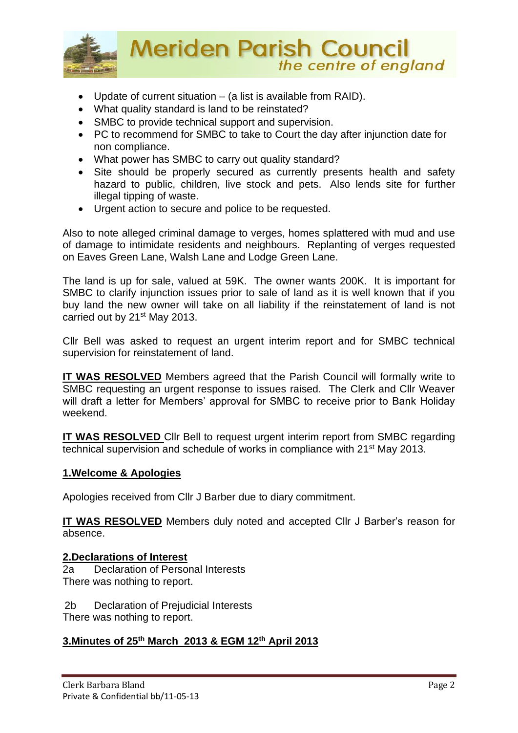

- Update of current situation (a list is available from RAID).
- What quality standard is land to be reinstated?
- SMBC to provide technical support and supervision.
- PC to recommend for SMBC to take to Court the day after injunction date for non compliance.
- What power has SMBC to carry out quality standard?
- Site should be properly secured as currently presents health and safety hazard to public, children, live stock and pets. Also lends site for further illegal tipping of waste.
- Urgent action to secure and police to be requested.

Also to note alleged criminal damage to verges, homes splattered with mud and use of damage to intimidate residents and neighbours. Replanting of verges requested on Eaves Green Lane, Walsh Lane and Lodge Green Lane.

The land is up for sale, valued at 59K. The owner wants 200K. It is important for SMBC to clarify injunction issues prior to sale of land as it is well known that if you buy land the new owner will take on all liability if the reinstatement of land is not carried out by 21st May 2013.

Cllr Bell was asked to request an urgent interim report and for SMBC technical supervision for reinstatement of land.

**IT WAS RESOLVED** Members agreed that the Parish Council will formally write to SMBC requesting an urgent response to issues raised. The Clerk and Cllr Weaver will draft a letter for Members' approval for SMBC to receive prior to Bank Holiday weekend.

**IT WAS RESOLVED** Cllr Bell to request urgent interim report from SMBC regarding technical supervision and schedule of works in compliance with 21st May 2013.

# **1.Welcome & Apologies**

Apologies received from Cllr J Barber due to diary commitment.

**IT WAS RESOLVED** Members duly noted and accepted Cllr J Barber's reason for absence.

## **2.Declarations of Interest**

2a Declaration of Personal Interests There was nothing to report.

2b Declaration of Prejudicial Interests There was nothing to report.

# **3.Minutes of 25th March 2013 & EGM 12th April 2013**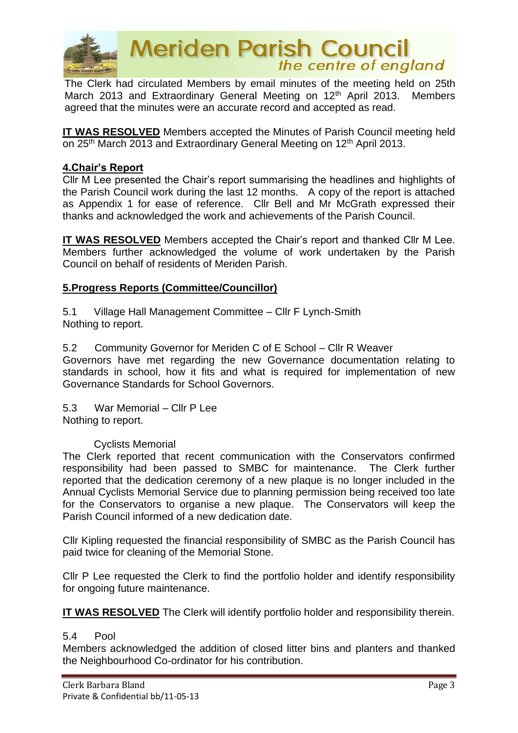

**Meriden Parish Council**<br>the centre of england

The Clerk had circulated Members by email minutes of the meeting held on 25th March 2013 and Extraordinary General Meeting on 12<sup>th</sup> April 2013. Members agreed that the minutes were an accurate record and accepted as read.

**IT WAS RESOLVED** Members accepted the Minutes of Parish Council meeting held on 25<sup>th</sup> March 2013 and Extraordinary General Meeting on 12<sup>th</sup> April 2013.

# **4.Chair's Report**

Cllr M Lee presented the Chair's report summarising the headlines and highlights of the Parish Council work during the last 12 months. A copy of the report is attached as Appendix 1 for ease of reference. Cllr Bell and Mr McGrath expressed their thanks and acknowledged the work and achievements of the Parish Council.

**IT WAS RESOLVED** Members accepted the Chair's report and thanked Cllr M Lee. Members further acknowledged the volume of work undertaken by the Parish Council on behalf of residents of Meriden Parish.

# **5.Progress Reports (Committee/Councillor)**

5.1 Village Hall Management Committee – Cllr F Lynch-Smith Nothing to report.

5.2 Community Governor for Meriden C of E School – Cllr R Weaver Governors have met regarding the new Governance documentation relating to standards in school, how it fits and what is required for implementation of new Governance Standards for School Governors.

5.3 War Memorial – Cllr P Lee Nothing to report.

## Cyclists Memorial

The Clerk reported that recent communication with the Conservators confirmed responsibility had been passed to SMBC for maintenance. The Clerk further reported that the dedication ceremony of a new plaque is no longer included in the Annual Cyclists Memorial Service due to planning permission being received too late for the Conservators to organise a new plaque. The Conservators will keep the Parish Council informed of a new dedication date.

Cllr Kipling requested the financial responsibility of SMBC as the Parish Council has paid twice for cleaning of the Memorial Stone.

Cllr P Lee requested the Clerk to find the portfolio holder and identify responsibility for ongoing future maintenance.

**IT WAS RESOLVED** The Clerk will identify portfolio holder and responsibility therein.

## 5.4 Pool

Members acknowledged the addition of closed litter bins and planters and thanked the Neighbourhood Co-ordinator for his contribution.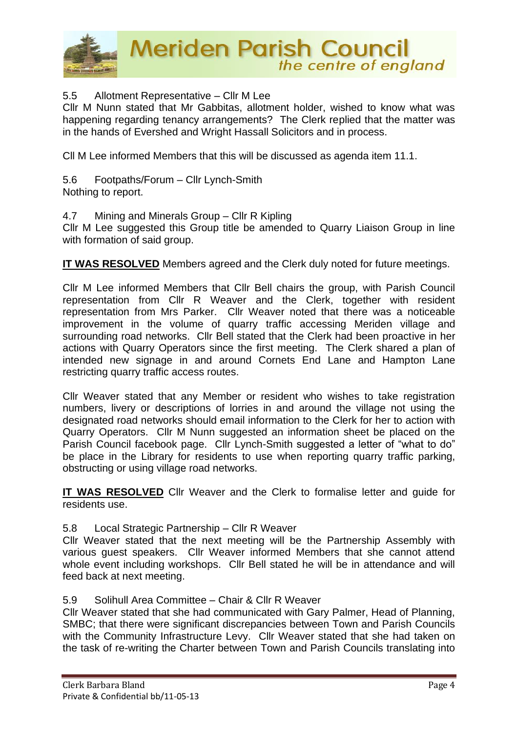

# 5.5 Allotment Representative – Cllr M Lee

Cllr M Nunn stated that Mr Gabbitas, allotment holder, wished to know what was happening regarding tenancy arrangements? The Clerk replied that the matter was in the hands of Evershed and Wright Hassall Solicitors and in process.

Cll M Lee informed Members that this will be discussed as agenda item 11.1.

5.6 Footpaths/Forum – Cllr Lynch-Smith Nothing to report.

#### 4.7 Mining and Minerals Group – Cllr R Kipling

Cllr M Lee suggested this Group title be amended to Quarry Liaison Group in line with formation of said group.

**IT WAS RESOLVED** Members agreed and the Clerk duly noted for future meetings.

Cllr M Lee informed Members that Cllr Bell chairs the group, with Parish Council representation from Cllr R Weaver and the Clerk, together with resident representation from Mrs Parker. Cllr Weaver noted that there was a noticeable improvement in the volume of quarry traffic accessing Meriden village and surrounding road networks. Cllr Bell stated that the Clerk had been proactive in her actions with Quarry Operators since the first meeting. The Clerk shared a plan of intended new signage in and around Cornets End Lane and Hampton Lane restricting quarry traffic access routes.

Cllr Weaver stated that any Member or resident who wishes to take registration numbers, livery or descriptions of lorries in and around the village not using the designated road networks should email information to the Clerk for her to action with Quarry Operators. Cllr M Nunn suggested an information sheet be placed on the Parish Council facebook page. Cllr Lynch-Smith suggested a letter of "what to do" be place in the Library for residents to use when reporting quarry traffic parking, obstructing or using village road networks.

**IT WAS RESOLVED** Cllr Weaver and the Clerk to formalise letter and quide for residents use.

## 5.8 Local Strategic Partnership – Cllr R Weaver

Cllr Weaver stated that the next meeting will be the Partnership Assembly with various guest speakers. Cllr Weaver informed Members that she cannot attend whole event including workshops. Cllr Bell stated he will be in attendance and will feed back at next meeting.

## 5.9 Solihull Area Committee – Chair & Cllr R Weaver

Cllr Weaver stated that she had communicated with Gary Palmer, Head of Planning, SMBC; that there were significant discrepancies between Town and Parish Councils with the Community Infrastructure Levy. Cllr Weaver stated that she had taken on the task of re-writing the Charter between Town and Parish Councils translating into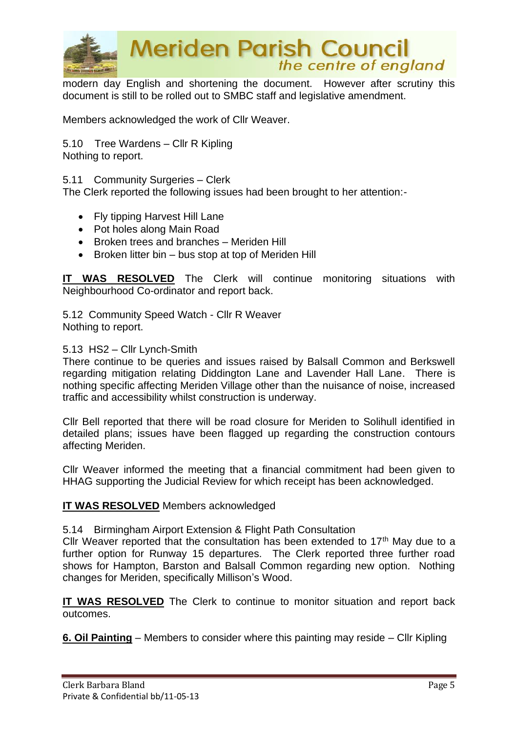

**Meriden Parish Council** the centre of england

modern day English and shortening the document. However after scrutiny this document is still to be rolled out to SMBC staff and legislative amendment.

Members acknowledged the work of Cllr Weaver.

5.10 Tree Wardens – Cllr R Kipling Nothing to report.

5.11 Community Surgeries – Clerk

The Clerk reported the following issues had been brought to her attention:-

- Fly tipping Harvest Hill Lane
- Pot holes along Main Road
- Broken trees and branches Meriden Hill
- Broken litter bin bus stop at top of Meriden Hill

**IT WAS RESOLVED** The Clerk will continue monitoring situations with Neighbourhood Co-ordinator and report back.

5.12 Community Speed Watch - Cllr R Weaver Nothing to report.

#### 5.13 HS2 – Cllr Lynch-Smith

There continue to be queries and issues raised by Balsall Common and Berkswell regarding mitigation relating Diddington Lane and Lavender Hall Lane. There is nothing specific affecting Meriden Village other than the nuisance of noise, increased traffic and accessibility whilst construction is underway.

Cllr Bell reported that there will be road closure for Meriden to Solihull identified in detailed plans; issues have been flagged up regarding the construction contours affecting Meriden.

Cllr Weaver informed the meeting that a financial commitment had been given to HHAG supporting the Judicial Review for which receipt has been acknowledged.

#### **IT WAS RESOLVED** Members acknowledged

#### 5.14 Birmingham Airport Extension & Flight Path Consultation

Cllr Weaver reported that the consultation has been extended to  $17<sup>th</sup>$  May due to a further option for Runway 15 departures. The Clerk reported three further road shows for Hampton, Barston and Balsall Common regarding new option. Nothing changes for Meriden, specifically Millison's Wood.

**IT WAS RESOLVED** The Clerk to continue to monitor situation and report back outcomes.

**6. Oil Painting** – Members to consider where this painting may reside – Cllr Kipling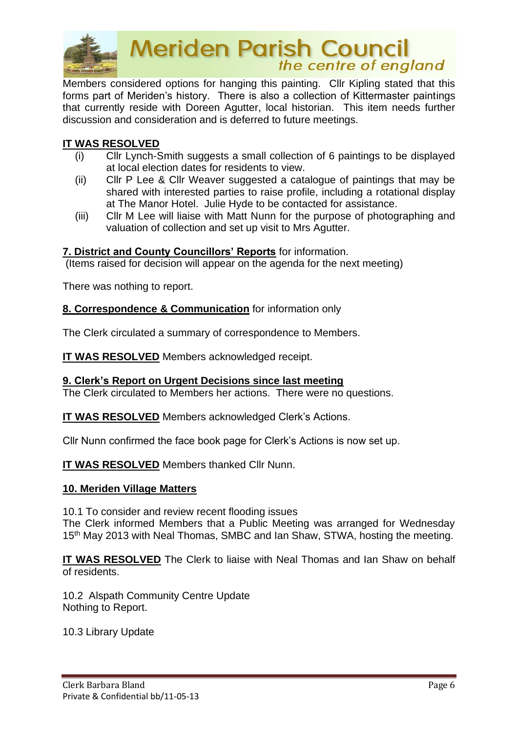

**Meriden Parish Council**<br>the centre of england

Members considered options for hanging this painting. Cllr Kipling stated that this forms part of Meriden's history. There is also a collection of Kittermaster paintings that currently reside with Doreen Agutter, local historian. This item needs further discussion and consideration and is deferred to future meetings.

## **IT WAS RESOLVED**

- (i) Cllr Lynch-Smith suggests a small collection of 6 paintings to be displayed at local election dates for residents to view.
- (ii) Cllr P Lee & Cllr Weaver suggested a catalogue of paintings that may be shared with interested parties to raise profile, including a rotational display at The Manor Hotel. Julie Hyde to be contacted for assistance.
- (iii) Cllr M Lee will liaise with Matt Nunn for the purpose of photographing and valuation of collection and set up visit to Mrs Agutter.

## **7. District and County Councillors' Reports** for information.

(Items raised for decision will appear on the agenda for the next meeting)

There was nothing to report.

#### **8. Correspondence & Communication** for information only

The Clerk circulated a summary of correspondence to Members.

**IT WAS RESOLVED** Members acknowledged receipt.

## **9. Clerk's Report on Urgent Decisions since last meeting**

The Clerk circulated to Members her actions. There were no questions.

**IT WAS RESOLVED** Members acknowledged Clerk's Actions.

Cllr Nunn confirmed the face book page for Clerk's Actions is now set up.

**IT WAS RESOLVED** Members thanked Cllr Nunn.

#### **10. Meriden Village Matters**

10.1 To consider and review recent flooding issues

The Clerk informed Members that a Public Meeting was arranged for Wednesday 15<sup>th</sup> May 2013 with Neal Thomas, SMBC and Ian Shaw, STWA, hosting the meeting.

**IT WAS RESOLVED** The Clerk to liaise with Neal Thomas and Ian Shaw on behalf of residents.

10.2 Alspath Community Centre Update Nothing to Report.

10.3 Library Update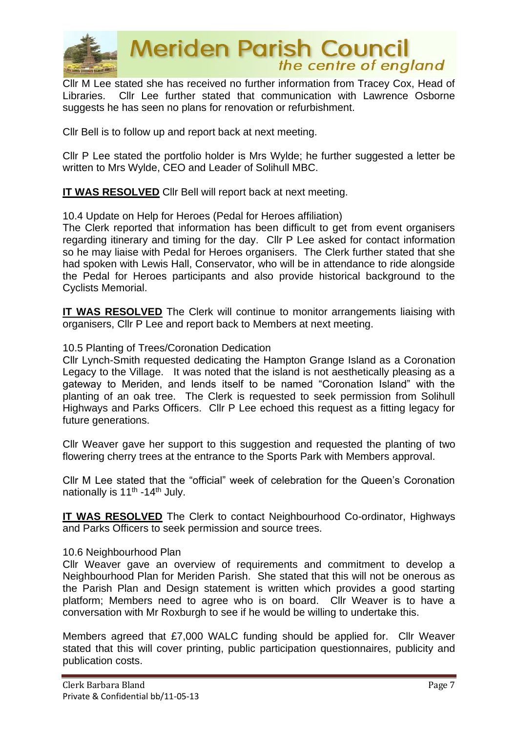

**Meriden Parish Council** the centre of england

Cllr M Lee stated she has received no further information from Tracey Cox, Head of Libraries. Cllr Lee further stated that communication with Lawrence Osborne suggests he has seen no plans for renovation or refurbishment.

Cllr Bell is to follow up and report back at next meeting.

Cllr P Lee stated the portfolio holder is Mrs Wylde; he further suggested a letter be written to Mrs Wylde, CEO and Leader of Solihull MBC.

**IT WAS RESOLVED** Cllr Bell will report back at next meeting.

10.4 Update on Help for Heroes (Pedal for Heroes affiliation)

The Clerk reported that information has been difficult to get from event organisers regarding itinerary and timing for the day. Cllr P Lee asked for contact information so he may liaise with Pedal for Heroes organisers. The Clerk further stated that she had spoken with Lewis Hall, Conservator, who will be in attendance to ride alongside the Pedal for Heroes participants and also provide historical background to the Cyclists Memorial.

**IT WAS RESOLVED** The Clerk will continue to monitor arrangements liaising with organisers, Cllr P Lee and report back to Members at next meeting.

#### 10.5 Planting of Trees/Coronation Dedication

Cllr Lynch-Smith requested dedicating the Hampton Grange Island as a Coronation Legacy to the Village. It was noted that the island is not aesthetically pleasing as a gateway to Meriden, and lends itself to be named "Coronation Island" with the planting of an oak tree. The Clerk is requested to seek permission from Solihull Highways and Parks Officers. Cllr P Lee echoed this request as a fitting legacy for future generations.

Cllr Weaver gave her support to this suggestion and requested the planting of two flowering cherry trees at the entrance to the Sports Park with Members approval.

Cllr M Lee stated that the "official" week of celebration for the Queen's Coronation nationally is 11<sup>th</sup> -14<sup>th</sup> July.

**IT WAS RESOLVED** The Clerk to contact Neighbourhood Co-ordinator, Highways and Parks Officers to seek permission and source trees.

#### 10.6 Neighbourhood Plan

Cllr Weaver gave an overview of requirements and commitment to develop a Neighbourhood Plan for Meriden Parish. She stated that this will not be onerous as the Parish Plan and Design statement is written which provides a good starting platform; Members need to agree who is on board. Cllr Weaver is to have a conversation with Mr Roxburgh to see if he would be willing to undertake this.

Members agreed that £7,000 WALC funding should be applied for. Cllr Weaver stated that this will cover printing, public participation questionnaires, publicity and publication costs.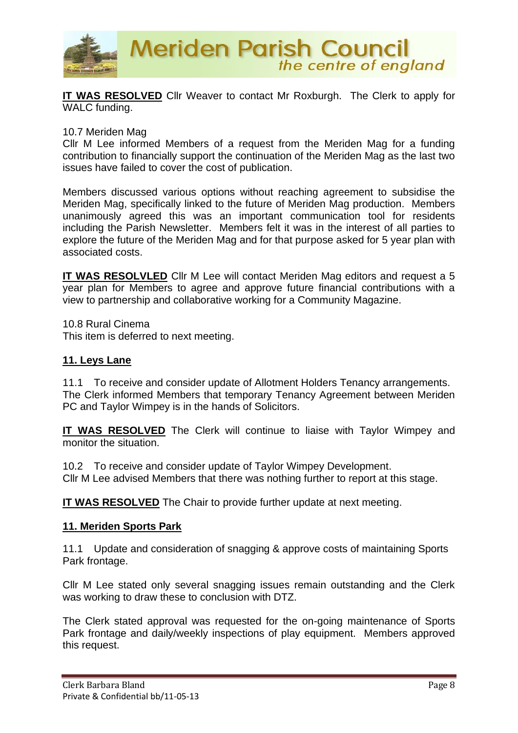

**IT WAS RESOLVED** Cllr Weaver to contact Mr Roxburgh. The Clerk to apply for WALC funding.

### 10.7 Meriden Mag

Cllr M Lee informed Members of a request from the Meriden Mag for a funding contribution to financially support the continuation of the Meriden Mag as the last two issues have failed to cover the cost of publication.

Members discussed various options without reaching agreement to subsidise the Meriden Mag, specifically linked to the future of Meriden Mag production. Members unanimously agreed this was an important communication tool for residents including the Parish Newsletter. Members felt it was in the interest of all parties to explore the future of the Meriden Mag and for that purpose asked for 5 year plan with associated costs.

**IT WAS RESOLVLED** Cllr M Lee will contact Meriden Mag editors and request a 5 year plan for Members to agree and approve future financial contributions with a view to partnership and collaborative working for a Community Magazine.

10.8 Rural Cinema This item is deferred to next meeting.

#### **11. Leys Lane**

11.1 To receive and consider update of Allotment Holders Tenancy arrangements. The Clerk informed Members that temporary Tenancy Agreement between Meriden PC and Taylor Wimpey is in the hands of Solicitors.

**IT WAS RESOLVED** The Clerk will continue to liaise with Taylor Wimpey and monitor the situation.

10.2 To receive and consider update of Taylor Wimpey Development. Cllr M Lee advised Members that there was nothing further to report at this stage.

**IT WAS RESOLVED** The Chair to provide further update at next meeting.

## **11. Meriden Sports Park**

11.1 Update and consideration of snagging & approve costs of maintaining Sports Park frontage.

Cllr M Lee stated only several snagging issues remain outstanding and the Clerk was working to draw these to conclusion with DTZ.

The Clerk stated approval was requested for the on-going maintenance of Sports Park frontage and daily/weekly inspections of play equipment. Members approved this request.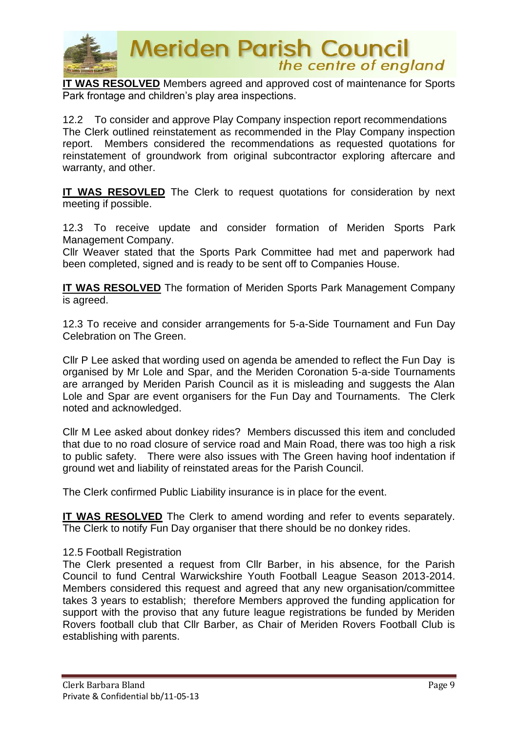

**IT WAS RESOLVED** Members agreed and approved cost of maintenance for Sports Park frontage and children's play area inspections.

12.2 To consider and approve Play Company inspection report recommendations The Clerk outlined reinstatement as recommended in the Play Company inspection report. Members considered the recommendations as requested quotations for reinstatement of groundwork from original subcontractor exploring aftercare and warranty, and other.

**IT WAS RESOVLED** The Clerk to request quotations for consideration by next meeting if possible.

12.3 To receive update and consider formation of Meriden Sports Park Management Company.

Cllr Weaver stated that the Sports Park Committee had met and paperwork had been completed, signed and is ready to be sent off to Companies House.

**IT WAS RESOLVED** The formation of Meriden Sports Park Management Company is agreed.

12.3 To receive and consider arrangements for 5-a-Side Tournament and Fun Day Celebration on The Green.

Cllr P Lee asked that wording used on agenda be amended to reflect the Fun Day is organised by Mr Lole and Spar, and the Meriden Coronation 5-a-side Tournaments are arranged by Meriden Parish Council as it is misleading and suggests the Alan Lole and Spar are event organisers for the Fun Day and Tournaments. The Clerk noted and acknowledged.

Cllr M Lee asked about donkey rides? Members discussed this item and concluded that due to no road closure of service road and Main Road, there was too high a risk to public safety. There were also issues with The Green having hoof indentation if ground wet and liability of reinstated areas for the Parish Council.

The Clerk confirmed Public Liability insurance is in place for the event.

**IT WAS RESOLVED** The Clerk to amend wording and refer to events separately. The Clerk to notify Fun Day organiser that there should be no donkey rides.

# 12.5 Football Registration

The Clerk presented a request from Cllr Barber, in his absence, for the Parish Council to fund Central Warwickshire Youth Football League Season 2013-2014. Members considered this request and agreed that any new organisation/committee takes 3 years to establish; therefore Members approved the funding application for support with the proviso that any future league registrations be funded by Meriden Rovers football club that Cllr Barber, as Chair of Meriden Rovers Football Club is establishing with parents.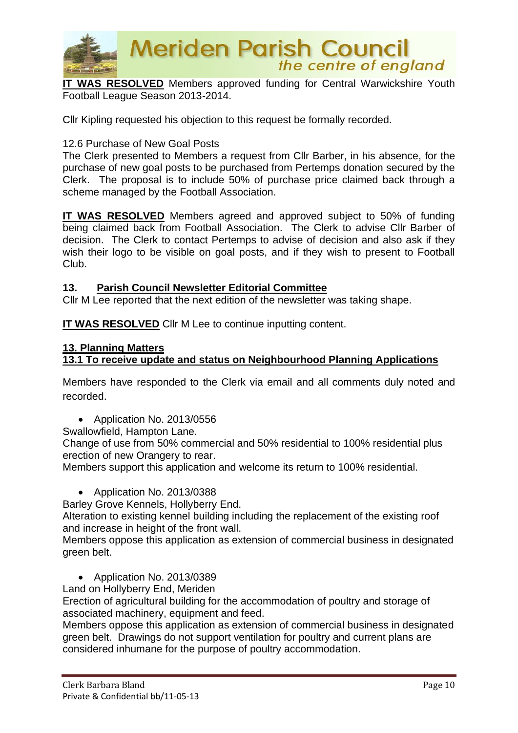

**IT WAS RESOLVED** Members approved funding for Central Warwickshire Youth Football League Season 2013-2014.

Cllr Kipling requested his objection to this request be formally recorded.

## 12.6 Purchase of New Goal Posts

The Clerk presented to Members a request from Cllr Barber, in his absence, for the purchase of new goal posts to be purchased from Pertemps donation secured by the Clerk. The proposal is to include 50% of purchase price claimed back through a scheme managed by the Football Association.

**IT WAS RESOLVED** Members agreed and approved subject to 50% of funding being claimed back from Football Association. The Clerk to advise Cllr Barber of decision. The Clerk to contact Pertemps to advise of decision and also ask if they wish their logo to be visible on goal posts, and if they wish to present to Football Club.

## **13. Parish Council Newsletter Editorial Committee**

Cllr M Lee reported that the next edition of the newsletter was taking shape.

**IT WAS RESOLVED** CIIr M Lee to continue inputting content.

## **13. Planning Matters**

# **13.1 To receive update and status on Neighbourhood Planning Applications**

Members have responded to the Clerk via email and all comments duly noted and recorded.

• Application No. 2013/0556

Swallowfield, Hampton Lane.

Change of use from 50% commercial and 50% residential to 100% residential plus erection of new Orangery to rear.

Members support this application and welcome its return to 100% residential.

• Application No. 2013/0388

Barley Grove Kennels, Hollyberry End.

Alteration to existing kennel building including the replacement of the existing roof and increase in height of the front wall.

Members oppose this application as extension of commercial business in designated green belt.

- Application No. 2013/0389
- Land on Hollyberry End, Meriden

Erection of agricultural building for the accommodation of poultry and storage of associated machinery, equipment and feed.

Members oppose this application as extension of commercial business in designated green belt. Drawings do not support ventilation for poultry and current plans are considered inhumane for the purpose of poultry accommodation.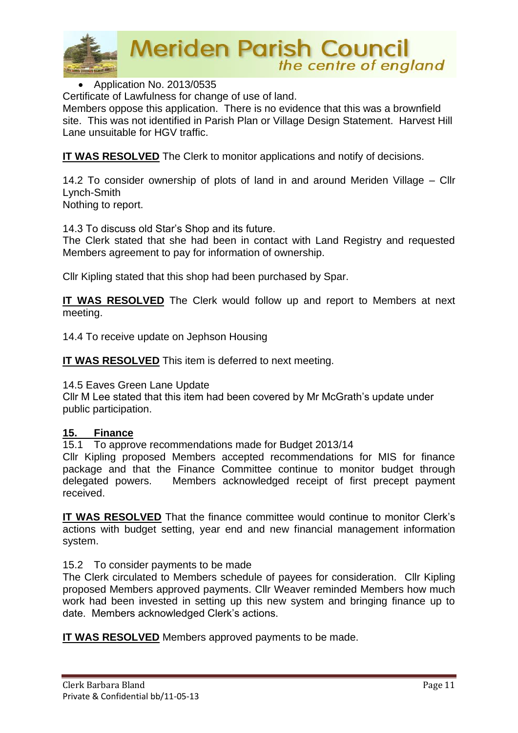

**Meriden Parish Council**<br>the centre of england

• Application No. 2013/0535

Certificate of Lawfulness for change of use of land.

Members oppose this application. There is no evidence that this was a brownfield site. This was not identified in Parish Plan or Village Design Statement. Harvest Hill Lane unsuitable for HGV traffic.

**IT WAS RESOLVED** The Clerk to monitor applications and notify of decisions.

14.2 To consider ownership of plots of land in and around Meriden Village – Cllr Lynch-Smith

Nothing to report.

14.3 To discuss old Star's Shop and its future.

The Clerk stated that she had been in contact with Land Registry and requested Members agreement to pay for information of ownership.

Cllr Kipling stated that this shop had been purchased by Spar.

**IT WAS RESOLVED** The Clerk would follow up and report to Members at next meeting.

14.4 To receive update on Jephson Housing

**IT WAS RESOLVED** This item is deferred to next meeting.

14.5 Eaves Green Lane Update

Cllr M Lee stated that this item had been covered by Mr McGrath's update under public participation.

## **15. Finance**

15.1 To approve recommendations made for Budget 2013/14

Cllr Kipling proposed Members accepted recommendations for MIS for finance package and that the Finance Committee continue to monitor budget through delegated powers. Members acknowledged receipt of first precept payment received.

**IT WAS RESOLVED** That the finance committee would continue to monitor Clerk's actions with budget setting, year end and new financial management information system.

15.2 To consider payments to be made

The Clerk circulated to Members schedule of payees for consideration. Cllr Kipling proposed Members approved payments. Cllr Weaver reminded Members how much work had been invested in setting up this new system and bringing finance up to date. Members acknowledged Clerk's actions.

**IT WAS RESOLVED** Members approved payments to be made.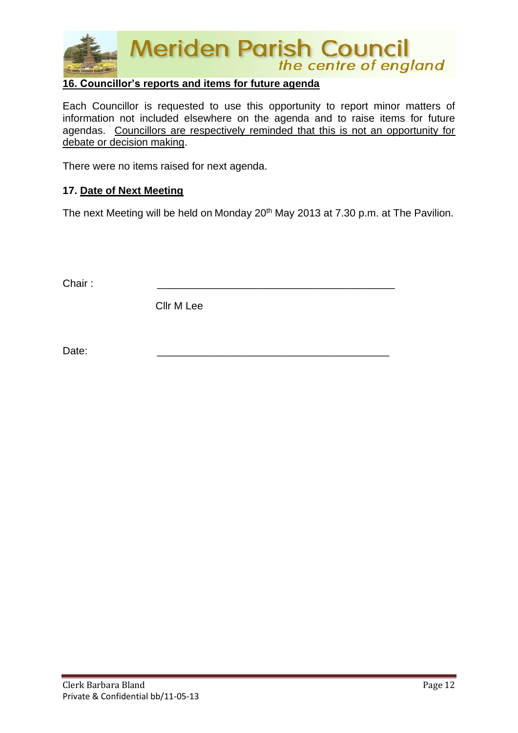

# **16. Councillor's reports and items for future agenda**

Each Councillor is requested to use this opportunity to report minor matters of information not included elsewhere on the agenda and to raise items for future agendas. Councillors are respectively reminded that this is not an opportunity for debate or decision making.

There were no items raised for next agenda.

## **17. Date of Next Meeting**

The next Meeting will be held on Monday 20<sup>th</sup> May 2013 at 7.30 p.m. at The Pavilion.

Chair : \_\_\_\_\_\_\_\_\_\_\_\_\_\_\_\_\_\_\_\_\_\_\_\_\_\_\_\_\_\_\_\_\_\_\_\_\_\_\_\_\_

Cllr M Lee

Date: \_\_\_\_\_\_\_\_\_\_\_\_\_\_\_\_\_\_\_\_\_\_\_\_\_\_\_\_\_\_\_\_\_\_\_\_\_\_\_\_